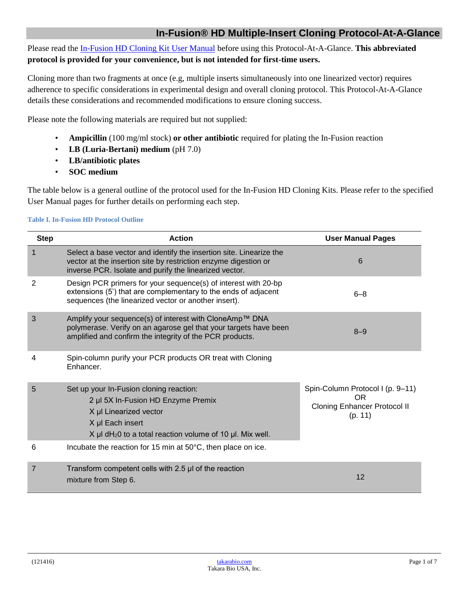# **In-Fusion® HD Multiple-Insert Cloning Protocol-At-A-Glance**

Please read th[e In-Fusion HD Cloning Kit](http://www.takarabio.com/resourcedocument/x32737) User Manual before using this Protocol-At-A-Glance. **This abbreviated protocol is provided for your convenience, but is not intended for first-time users.**

Cloning more than two fragments at once (e.g, multiple inserts simultaneously into one linearized vector) requires adherence to specific considerations in experimental design and overall cloning protocol. This Protocol-At-A-Glance details these considerations and recommended modifications to ensure cloning success.

Please note the following materials are required but not supplied:

- **Ampicillin** (100 mg/ml stock) **or other antibiotic** required for plating the In-Fusion reaction
- **LB (Luria-Bertani) medium** (pH 7.0)
- **LB/antibiotic plates**
- **SOC medium**

The table below is a general outline of the protocol used for the In-Fusion HD Cloning Kits. Please refer to the specified User Manual pages for further details on performing each step.

### **Table I. In-Fusion HD Protocol Outline**

| <b>Step</b>    | <b>Action</b>                                                                                                                                                                                          | <b>User Manual Pages</b>                                                                  |
|----------------|--------------------------------------------------------------------------------------------------------------------------------------------------------------------------------------------------------|-------------------------------------------------------------------------------------------|
| 1              | Select a base vector and identify the insertion site. Linearize the<br>vector at the insertion site by restriction enzyme digestion or<br>inverse PCR. Isolate and purify the linearized vector.       | 6                                                                                         |
| $\overline{2}$ | Design PCR primers for your sequence(s) of interest with 20-bp<br>extensions (5') that are complementary to the ends of adjacent<br>sequences (the linearized vector or another insert).               | $6 - 8$                                                                                   |
| 3              | Amplify your sequence(s) of interest with CloneAmp™ DNA<br>polymerase. Verify on an agarose gel that your targets have been<br>amplified and confirm the integrity of the PCR products.                | $8 - 9$                                                                                   |
| 4              | Spin-column purify your PCR products OR treat with Cloning<br>Enhancer.                                                                                                                                |                                                                                           |
| 5              | Set up your In-Fusion cloning reaction:<br>2 µl 5X In-Fusion HD Enzyme Premix<br>X µl Linearized vector<br>X µl Each insert<br>$X$ µl dH <sub>2</sub> 0 to a total reaction volume of 10 µl. Mix well. | Spin-Column Protocol I (p. 9-11)<br>OR.<br><b>Cloning Enhancer Protocol II</b><br>(p. 11) |
| 6              | Incubate the reaction for 15 min at 50°C, then place on ice.                                                                                                                                           |                                                                                           |
| 7              | Transform competent cells with 2.5 µl of the reaction<br>mixture from Step 6.                                                                                                                          | 12                                                                                        |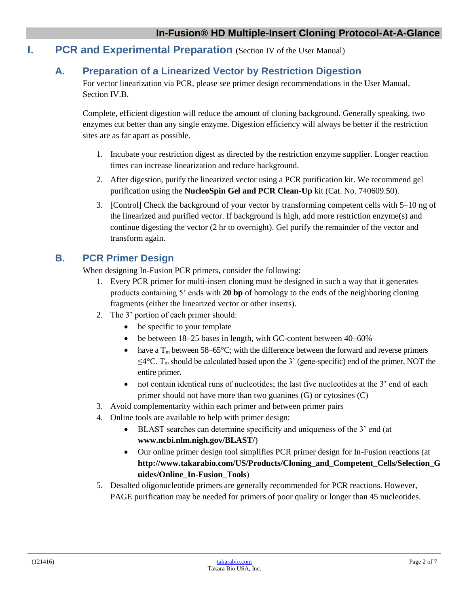# **I. PCR and Experimental Preparation** (Section IV of the User Manual)

# **A. Preparation of a Linearized Vector by Restriction Digestion**

For vector linearization via PCR, please see primer design recommendations in the User Manual, Section IV.B.

Complete, efficient digestion will reduce the amount of cloning background. Generally speaking, two enzymes cut better than any single enzyme. Digestion efficiency will always be better if the restriction sites are as far apart as possible.

- 1. Incubate your restriction digest as directed by the restriction enzyme supplier. Longer reaction times can increase linearization and reduce background.
- 2. After digestion, purify the linearized vector using a PCR purification kit. We recommend gel purification using the **NucleoSpin Gel and PCR Clean-Up** kit (Cat. No. 740609.50).
- 3. [Control] Check the background of your vector by transforming competent cells with 5–10 ng of the linearized and purified vector. If background is high, add more restriction enzyme(s) and continue digesting the vector (2 hr to overnight). Gel purify the remainder of the vector and transform again.

# **B. PCR Primer Design**

When designing In-Fusion PCR primers, consider the following:

- 1. Every PCR primer for multi-insert cloning must be designed in such a way that it generates products containing 5' ends with **20 bp** of homology to the ends of the neighboring cloning fragments (either the linearized vector or other inserts).
- 2. The 3' portion of each primer should:
	- be specific to your template
	- be between 18–25 bases in length, with GC-content between 40–60%
	- have a  $T_m$  between 58–65°C; with the difference between the forward and reverse primers  $\leq$ 4 $\degree$ C. T<sub>m</sub> should be calculated based upon the 3' (gene-specific) end of the primer, NOT the entire primer.
	- not contain identical runs of nucleotides; the last five nucleotides at the 3' end of each primer should not have more than two guanines (G) or cytosines (C)
- 3. Avoid complementarity within each primer and between primer pairs
- 4. Online tools are available to help with primer design:
	- BLAST searches can determine specificity and uniqueness of the 3' end (at **www.ncbi.nlm.nigh.gov/BLAST/**)
	- Our online primer design tool simplifies PCR primer design for In-Fusion reactions (at **http://www.takarabio.com/US/Products/Cloning\_and\_Competent\_Cells/Selection\_G uides/Online\_In-Fusion\_Tools**)
- 5. Desalted oligonucleotide primers are generally recommended for PCR reactions. However, PAGE purification may be needed for primers of poor quality or longer than 45 nucleotides.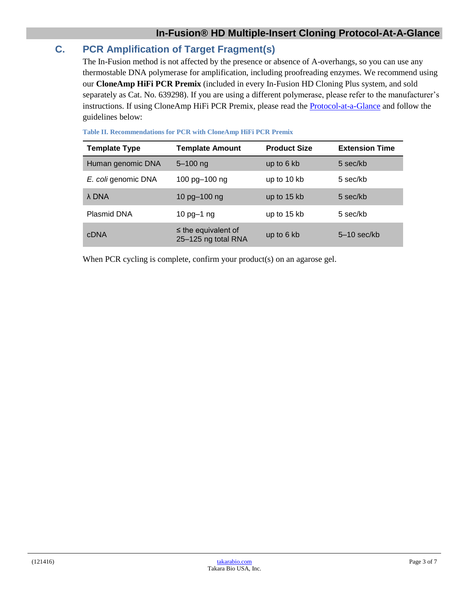# **C. PCR Amplification of Target Fragment(s)**

The In-Fusion method is not affected by the presence or absence of A-overhangs, so you can use any thermostable DNA polymerase for amplification, including proofreading enzymes. We recommend using our **CloneAmp HiFi PCR Premix** (included in every In-Fusion HD Cloning Plus system, and sold separately as Cat. No. 639298). If you are using a different polymerase, please refer to the manufacturer's instructions. If using CloneAmp HiFi PCR Premix, please read the [Protocol-at-a-Glance](http://www.takarabio.com/resourcedocument/x32586) and follow the guidelines below:

| Table 11. Recommendations for PUR with CloneAmp Hirt PUR Premix |                                                 |                     |                       |  |  |  |
|-----------------------------------------------------------------|-------------------------------------------------|---------------------|-----------------------|--|--|--|
| <b>Template Type</b>                                            | <b>Template Amount</b>                          | <b>Product Size</b> | <b>Extension Time</b> |  |  |  |
| Human genomic DNA                                               | $5 - 100$ ng                                    | up to 6 kb          | 5 sec/kb              |  |  |  |
| E. coli genomic DNA                                             | 100 pg-100 ng                                   | up to 10 kb         | 5 sec/kb              |  |  |  |
| λ DNA                                                           | 10 pg-100 ng                                    | up to 15 kb         | 5 sec/kb              |  |  |  |
| <b>Plasmid DNA</b>                                              | 10 $pg-1$ ng                                    | up to 15 kb         | 5 sec/kb              |  |  |  |
| <b>cDNA</b>                                                     | $\leq$ the equivalent of<br>25-125 ng total RNA | up to 6 kb          | $5-10$ sec/kb         |  |  |  |

When PCR cycling is complete, confirm your product(s) on an agarose gel.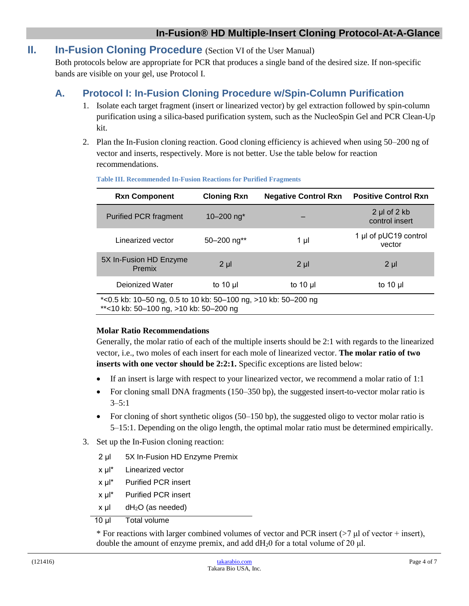# **II. In-Fusion Cloning Procedure** (Section VI of the User Manual)

Both protocols below are appropriate for PCR that produces a single band of the desired size. If non-specific bands are visible on your gel, use Protocol I.

# **A. Protocol I: In-Fusion Cloning Procedure w/Spin-Column Purification**

- 1. Isolate each target fragment (insert or linearized vector) by gel extraction followed by spin-column purification using a silica-based purification system, such as the NucleoSpin Gel and PCR Clean-Up kit.
- 2. Plan the In-Fusion cloning reaction. Good cloning efficiency is achieved when using 50–200 ng of vector and inserts, respectively. More is not better. Use the table below for reaction recommendations.

| <b>Rxn Component</b>                                                                                     | <b>Cloning Rxn</b>        | <b>Negative Control Rxn</b> | <b>Positive Control Rxn</b>               |  |  |
|----------------------------------------------------------------------------------------------------------|---------------------------|-----------------------------|-------------------------------------------|--|--|
| <b>Purified PCR fragment</b>                                                                             | 10 $-200$ ng <sup>*</sup> |                             | $2 \mu$ of $2 \kappa$ b<br>control insert |  |  |
| Linearized vector                                                                                        | $50 - 200$ ng**           | 1 µl                        | 1 µl of pUC19 control<br>vector           |  |  |
| 5X In-Fusion HD Enzyme<br>Premix                                                                         | $2 \mu$                   | $2 \mu$                     | $2 \mu$                                   |  |  |
| Dejonized Water                                                                                          | to 10 $\mu$               | to 10 $\mu$                 | to 10 $\mu$                               |  |  |
| *<0.5 kb: 10-50 ng, 0.5 to 10 kb: 50-100 ng, >10 kb: 50-200 ng<br>**<10 kb: 50-100 ng, >10 kb: 50-200 ng |                           |                             |                                           |  |  |

#### **Table III. Recommended In-Fusion Reactions for Purified Fragments**

### **Molar Ratio Recommendations**

Generally, the molar ratio of each of the multiple inserts should be 2:1 with regards to the linearized vector, i.e., two moles of each insert for each mole of linearized vector. **The molar ratio of two inserts with one vector should be 2:2:1.** Specific exceptions are listed below:

- If an insert is large with respect to your linearized vector, we recommend a molar ratio of 1:1
- For cloning small DNA fragments (150–350 bp), the suggested insert-to-vector molar ratio is  $3 - 5:1$
- For cloning of short synthetic oligos (50–150 bp), the suggested oligo to vector molar ratio is 5–15:1. Depending on the oligo length, the optimal molar ratio must be determined empirically.
- 3. Set up the In-Fusion cloning reaction:
	- 2 μl 5X In-Fusion HD Enzyme Premix
	- x μl\* Linearized vector
	- x μl\* Purified PCR insert
	- x μl\* Purified PCR insert
	- $x \mu$ l dH<sub>2</sub>O (as needed)
	- 10 μl Total volume

\* For reactions with larger combined volumes of vector and PCR insert  $($ >7  $\mu$ l of vector + insert), double the amount of enzyme premix, and add  $dH_20$  for a total volume of 20 μl.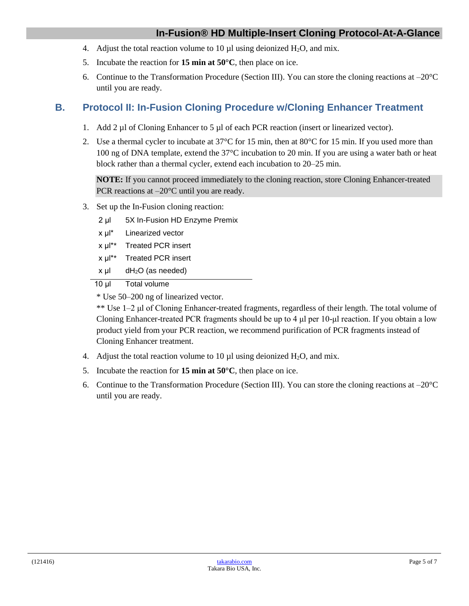# **In-Fusion® HD Multiple-Insert Cloning Protocol-At-A-Glance**

- 4. Adjust the total reaction volume to 10  $\mu$ l using deionized H<sub>2</sub>O, and mix.
- 5. Incubate the reaction for **15 min at 50°C**, then place on ice.
- 6. Continue to the Transformation Procedure (Section III). You can store the cloning reactions at  $-20^{\circ}$ C until you are ready.

# **B. Protocol II: In-Fusion Cloning Procedure w/Cloning Enhancer Treatment**

- 1. Add 2 µl of Cloning Enhancer to 5 µl of each PCR reaction (insert or linearized vector).
- 2. Use a thermal cycler to incubate at  $37^{\circ}$ C for 15 min, then at  $80^{\circ}$ C for 15 min. If you used more than 100 ng of DNA template, extend the 37°C incubation to 20 min. If you are using a water bath or heat block rather than a thermal cycler, extend each incubation to 20–25 min.

**NOTE:** If you cannot proceed immediately to the cloning reaction, store Cloning Enhancer-treated PCR reactions at –20°C until you are ready.

- 3. Set up the In-Fusion cloning reaction:
	- 2 μl 5X In-Fusion HD Enzyme Premix
	- x μl\* Linearized vector
	- x μl\*\* Treated PCR insert
	- x μl\*\* Treated PCR insert
	- x μl dH2O (as needed)

10 μl Total volume

\* Use 50–200 ng of linearized vector.

\*\* Use 1–2 μl of Cloning Enhancer-treated fragments, regardless of their length. The total volume of Cloning Enhancer-treated PCR fragments should be up to 4 μl per 10-μl reaction. If you obtain a low product yield from your PCR reaction, we recommend purification of PCR fragments instead of Cloning Enhancer treatment.

- 4. Adjust the total reaction volume to 10  $\mu$ l using deionized H<sub>2</sub>O, and mix.
- 5. Incubate the reaction for **15 min at 50°C**, then place on ice.
- 6. Continue to the Transformation Procedure (Section III). You can store the cloning reactions at  $-20^{\circ}$ C until you are ready.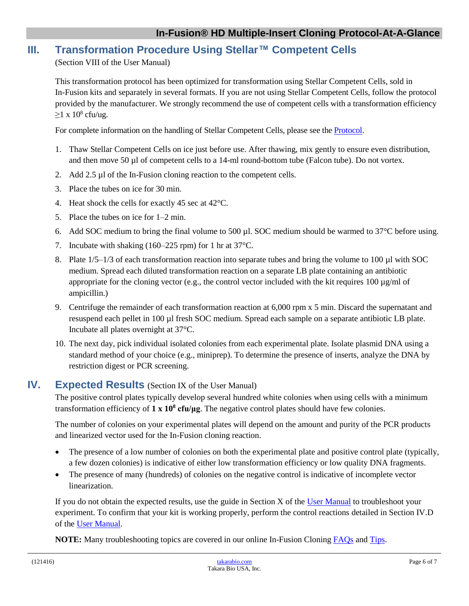# **III. Transformation Procedure Using Stellar™ Competent Cells**

(Section VIII of the User Manual)

This transformation protocol has been optimized for transformation using Stellar Competent Cells, sold in In-Fusion kits and separately in several formats. If you are not using Stellar Competent Cells, follow the protocol provided by the manufacturer. We strongly recommend the use of competent cells with a transformation efficiency  $\geq$ 1 x 10<sup>8</sup> cfu/ug.

For complete information on the handling of Stellar Competent Cells, please see the **Protocol**.

- 1. Thaw Stellar Competent Cells on ice just before use. After thawing, mix gently to ensure even distribution, and then move 50 µl of competent cells to a 14-ml round-bottom tube (Falcon tube). Do not vortex.
- 2. Add 2.5 µl of the In-Fusion cloning reaction to the competent cells.
- 3. Place the tubes on ice for 30 min.
- 4. Heat shock the cells for exactly 45 sec at 42°C.
- 5. Place the tubes on ice for 1–2 min.
- 6. Add SOC medium to bring the final volume to 500 µl. SOC medium should be warmed to 37°C before using.
- 7. Incubate with shaking (160–225 rpm) for 1 hr at 37°C.
- 8. Plate  $1/5-1/3$  of each transformation reaction into separate tubes and bring the volume to 100 µl with SOC medium. Spread each diluted transformation reaction on a separate LB plate containing an antibiotic appropriate for the cloning vector (e.g., the control vector included with the kit requires  $100 \mu g/ml$  of ampicillin.)
- 9. Centrifuge the remainder of each transformation reaction at 6,000 rpm x 5 min. Discard the supernatant and resuspend each pellet in 100 µl fresh SOC medium. Spread each sample on a separate antibiotic LB plate. Incubate all plates overnight at 37°C.
- 10. The next day, pick individual isolated colonies from each experimental plate. Isolate plasmid DNA using a standard method of your choice (e.g., miniprep). To determine the presence of inserts, analyze the DNA by restriction digest or PCR screening.

# **IV. Expected Results** (Section IX of the User Manual)

The positive control plates typically develop several hundred white colonies when using cells with a minimum transformation efficiency of **1 x 10<sup>8</sup> cfu/μg**. The negative control plates should have few colonies.

The number of colonies on your experimental plates will depend on the amount and purity of the PCR products and linearized vector used for the In-Fusion cloning reaction.

- The presence of a low number of colonies on both the experimental plate and positive control plate (typically, a few dozen colonies) is indicative of either low transformation efficiency or low quality DNA fragments.
- The presence of many (hundreds) of colonies on the negative control is indicative of incomplete vector linearization.

If you do not obtain the expected results, use the guide in Section X of the [User Manual](http://www.takarabio.com/resourcedocument/x32737) to troubleshoot your experiment. To confirm that your kit is working properly, perform the control reactions detailed in Section IV.D of the [User Manual.](http://www.takarabio.com/resourcedocument/x32737)

**NOTE:** Many troubleshooting topics are covered in our online In-Fusion Cloning [FAQs](http://www.clontech.com/US/Products/Cloning_and_Competent_Cells/Cloning_Resources/FAQs/In-Fusion_Cloning) and [Tips.](http://www.clontech.com/US/Products/Cloning_and_Competent_Cells/Cloning_Resources/Cloning_Tips/In-Fusion_Cloning)